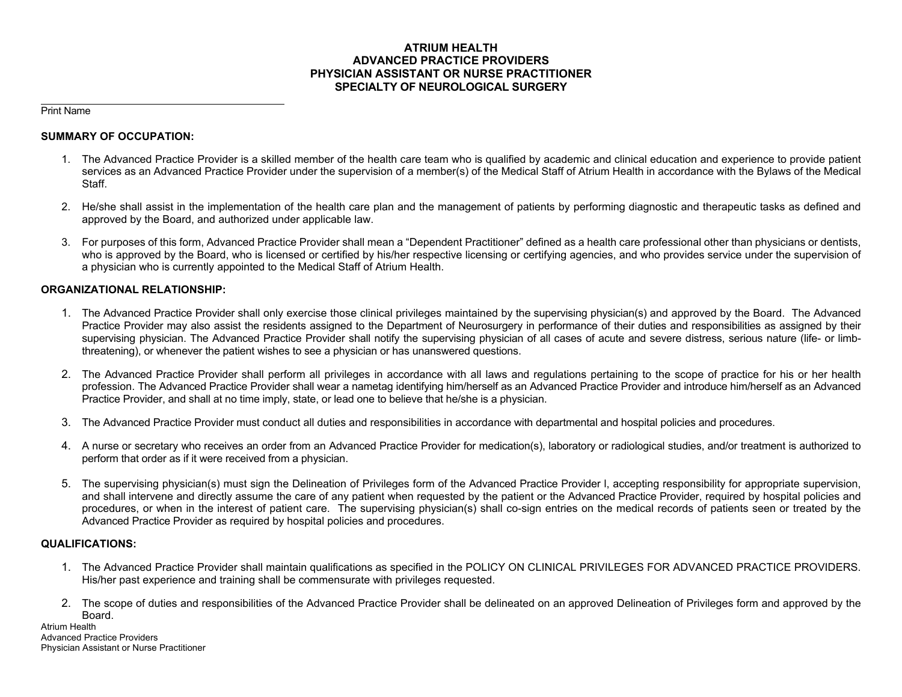## **ATRIUM HEALTH ADVANCED PRACTICE PROVIDERS PHYSICIAN ASSISTANT OR NURSE PRACTITIONER SPECIALTY OF NEUROLOGICAL SURGERY**

Print Name

### **SUMMARY OF OCCUPATION:**

- 1. The Advanced Practice Provider is a skilled member of the health care team who is qualified by academic and clinical education and experience to provide patient services as an Advanced Practice Provider under the supervision of a member(s) of the Medical Staff of Atrium Health in accordance with the Bylaws of the Medical Staff.
- 2. He/she shall assist in the implementation of the health care plan and the management of patients by performing diagnostic and therapeutic tasks as defined and approved by the Board, and authorized under applicable law.
- 3. For purposes of this form, Advanced Practice Provider shall mean a "Dependent Practitioner" defined as a health care professional other than physicians or dentists, who is approved by the Board, who is licensed or certified by his/her respective licensing or certifying agencies, and who provides service under the supervision of a physician who is currently appointed to the Medical Staff of Atrium Health.

### **ORGANIZATIONAL RELATIONSHIP:**

- 1. The Advanced Practice Provider shall only exercise those clinical privileges maintained by the supervising physician(s) and approved by the Board. The Advanced Practice Provider may also assist the residents assigned to the Department of Neurosurgery in performance of their duties and responsibilities as assigned by their supervising physician. The Advanced Practice Provider shall notify the supervising physician of all cases of acute and severe distress, serious nature (life- or limbthreatening), or whenever the patient wishes to see a physician or has unanswered questions.
- 2. The Advanced Practice Provider shall perform all privileges in accordance with all laws and regulations pertaining to the scope of practice for his or her health profession. The Advanced Practice Provider shall wear a nametag identifying him/herself as an Advanced Practice Provider and introduce him/herself as an Advanced Practice Provider, and shall at no time imply, state, or lead one to believe that he/she is a physician.
- 3. The Advanced Practice Provider must conduct all duties and responsibilities in accordance with departmental and hospital policies and procedures.
- 4. A nurse or secretary who receives an order from an Advanced Practice Provider for medication(s), laboratory or radiological studies, and/or treatment is authorized to perform that order as if it were received from a physician.
- 5. The supervising physician(s) must sign the Delineation of Privileges form of the Advanced Practice Provider l, accepting responsibility for appropriate supervision, and shall intervene and directly assume the care of any patient when requested by the patient or the Advanced Practice Provider, required by hospital policies and procedures, or when in the interest of patient care. The supervising physician(s) shall co-sign entries on the medical records of patients seen or treated by the Advanced Practice Provider as required by hospital policies and procedures.

### **QUALIFICATIONS:**

- 1. The Advanced Practice Provider shall maintain qualifications as specified in the POLICY ON CLINICAL PRIVILEGES FOR ADVANCED PRACTICE PROVIDERS. His/her past experience and training shall be commensurate with privileges requested.
- 2. The scope of duties and responsibilities of the Advanced Practice Provider shall be delineated on an approved Delineation of Privileges form and approved by the Board.

Atrium Health Advanced Practice Providers Physician Assistant or Nurse Practitioner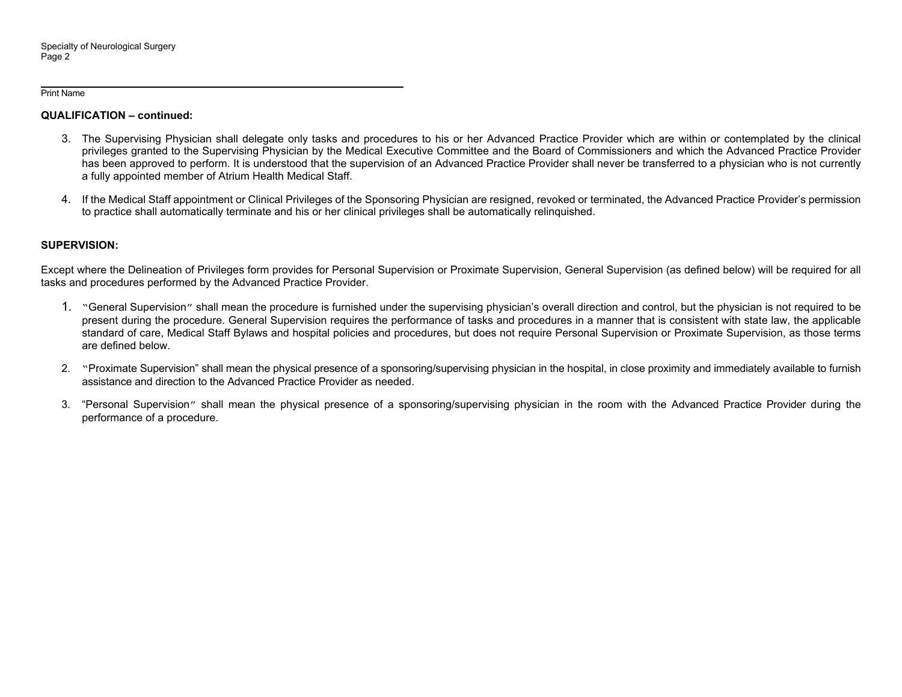#### Print Name

## **QUALIFICATION – continued:**

- 3. The Supervising Physician shall delegate only tasks and procedures to his or her Advanced Practice Provider which are within or contemplated by the clinical privileges granted to the Supervising Physician by the Medical Executive Committee and the Board of Commissioners and which the Advanced Practice Provider has been approved to perform. It is understood that the supervision of an Advanced Practice Provider shall never be transferred to a physician who is not currently a fully appointed member of Atrium Health Medical Staff.
- 4. If the Medical Staff appointment or Clinical Privileges of the Sponsoring Physician are resigned, revoked or terminated, the Advanced Practice Provider's permission to practice shall automatically terminate and his or her clinical privileges shall be automatically relinquished.

## **SUPERVISION:**

Except where the Delineation of Privileges form provides for Personal Supervision or Proximate Supervision, General Supervision (as defined below) will be required for all tasks and procedures performed by the Advanced Practice Provider.

- 1. "General Supervision" shall mean the procedure is furnished under the supervising physician's overall direction and control, but the physician is not required to be present during the procedure. General Supervision requires the performance of tasks and procedures in a manner that is consistent with state law, the applicable standard of care, Medical Staff Bylaws and hospital policies and procedures, but does not require Personal Supervision or Proximate Supervision, as those terms are defined below.
- 2. "Proximate Supervision" shall mean the physical presence of a sponsoring/supervising physician in the hospital, in close proximity and immediately available to furnish assistance and direction to the Advanced Practice Provider as needed.
- 3. "Personal Supervision" shall mean the physical presence of a sponsoring/supervising physician in the room with the Advanced Practice Provider during the performance of a procedure.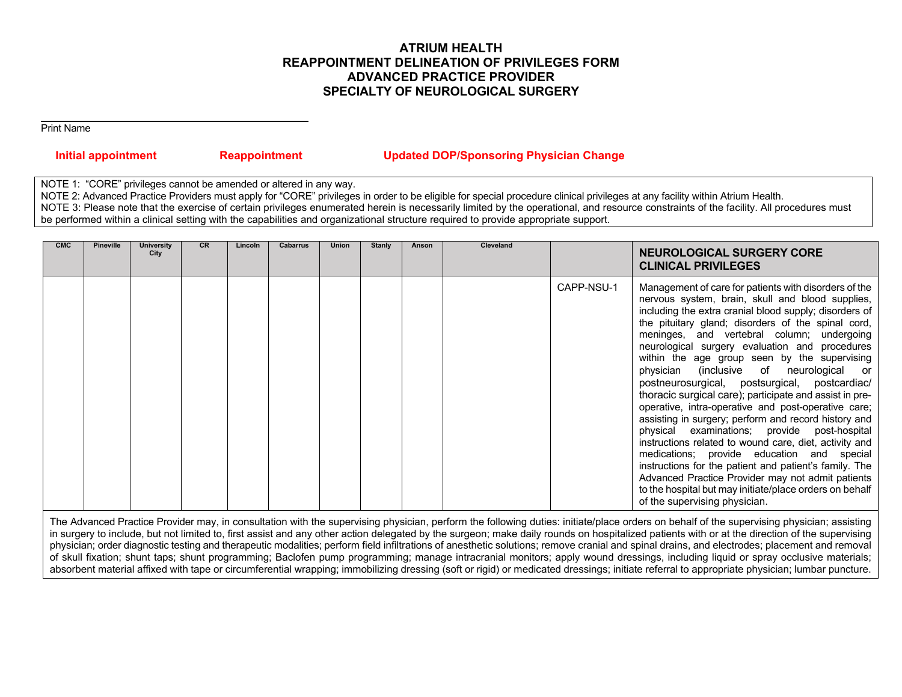# **ATRIUM HEALTH REAPPOINTMENT DELINEATION OF PRIVILEGES FORM ADVANCED PRACTICE PROVIDER SPECIALTY OF NEUROLOGICAL SURGERY**

Print Name

| <b>Initial appointment</b> | <b>Reappointment</b> | <b>Updated DOP/Sponsoring Physician Change</b> |
|----------------------------|----------------------|------------------------------------------------|
|                            |                      |                                                |

NOTE 1: "CORE" privileges cannot be amended or altered in any way.

NOTE 2: Advanced Practice Providers must apply for "CORE" privileges in order to be eligible for special procedure clinical privileges at any facility within Atrium Health. NOTE 3: Please note that the exercise of certain privileges enumerated herein is necessarily limited by the operational, and resource constraints of the facility. All procedures must be performed within a clinical setting with the capabilities and organizational structure required to provide appropriate support.

| <b>CMC</b> | <b>Pineville</b> | <b>University</b><br>City | <b>CR</b> | Lincoln | <b>Cabarrus</b> | <b>Union</b> | <b>Stanly</b> | Anson | Cleveland |            | <b>NEUROLOGICAL SURGERY CORE</b><br><b>CLINICAL PRIVILEGES</b>                                                                                                                                                                                                                                                                                                                                                                                                                                                                                                                                                                                                                                                                                                                                                                                                                                                                                                                                                     |
|------------|------------------|---------------------------|-----------|---------|-----------------|--------------|---------------|-------|-----------|------------|--------------------------------------------------------------------------------------------------------------------------------------------------------------------------------------------------------------------------------------------------------------------------------------------------------------------------------------------------------------------------------------------------------------------------------------------------------------------------------------------------------------------------------------------------------------------------------------------------------------------------------------------------------------------------------------------------------------------------------------------------------------------------------------------------------------------------------------------------------------------------------------------------------------------------------------------------------------------------------------------------------------------|
|            |                  |                           |           |         |                 |              |               |       |           | CAPP-NSU-1 | Management of care for patients with disorders of the<br>nervous system, brain, skull and blood supplies,<br>including the extra cranial blood supply; disorders of<br>the pituitary gland; disorders of the spinal cord,<br>meninges, and vertebral column; undergoing<br>neurological surgery evaluation and procedures<br>within the age group seen by the supervising<br>physician (inclusive of neurological or<br>postneurosurgical, postsurgical, postcardiac/<br>thoracic surgical care); participate and assist in pre-<br>operative, intra-operative and post-operative care;<br>assisting in surgery; perform and record history and<br>physical examinations; provide post-hospital<br>instructions related to wound care, diet, activity and<br>medications; provide education and special<br>instructions for the patient and patient's family. The<br>Advanced Practice Provider may not admit patients<br>to the hospital but may initiate/place orders on behalf<br>of the supervising physician. |

The Advanced Practice Provider may, in consultation with the supervising physician, perform the following duties: initiate/place orders on behalf of the supervising physician; assisting in surgery to include, but not limited to, first assist and any other action delegated by the surgeon; make daily rounds on hospitalized patients with or at the direction of the supervising physician; order diagnostic testing and therapeutic modalities; perform field infiltrations of anesthetic solutions; remove cranial and spinal drains, and electrodes; placement and removal of skull fixation; shunt taps; shunt programming; Baclofen pump programming; manage intracranial monitors; apply wound dressings, including liquid or spray occlusive materials; absorbent material affixed with tape or circumferential wrapping; immobilizing dressing (soft or rigid) or medicated dressings; initiate referral to appropriate physician; lumbar puncture.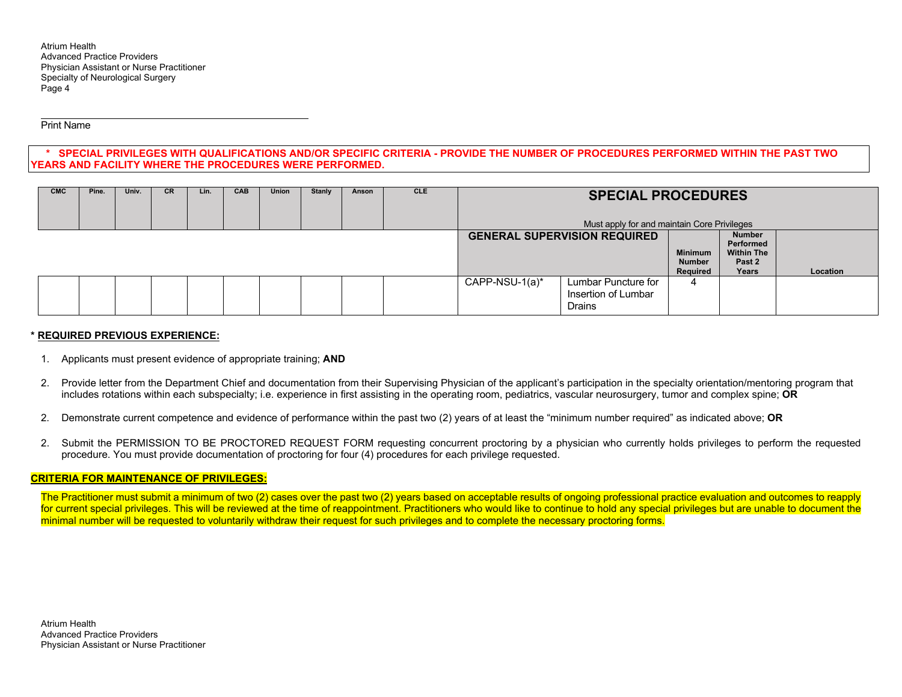Atrium Health Advanced Practice Providers Physician Assistant or Nurse Practitioner Specialty of Neurological Surgery Page 4

Print Name

### **\* SPECIAL PRIVILEGES WITH QUALIFICATIONS AND/OR SPECIFIC CRITERIA - PROVIDE THE NUMBER OF PROCEDURES PERFORMED WITHIN THE PAST TWO YEARS AND FACILITY WHERE THE PROCEDURES WERE PERFORMED.**

| <b>CMC</b> | Pine. | Univ. | <b>CR</b> | Lin. | <b>CAB</b> | <b>Union</b> | <b>Stanly</b> | Anson                               | <b>CLE</b>                                  | <b>SPECIAL PROCEDURES</b><br>Must apply for and maintain Core Privileges |                                                             |   |  |  |
|------------|-------|-------|-----------|------|------------|--------------|---------------|-------------------------------------|---------------------------------------------|--------------------------------------------------------------------------|-------------------------------------------------------------|---|--|--|
|            |       |       |           |      |            |              |               | <b>GENERAL SUPERVISION REQUIRED</b> | <b>Minimum</b><br><b>Number</b><br>Required | <b>Number</b><br>Performed<br><b>Within The</b><br>Past 2<br>Years       | Location                                                    |   |  |  |
|            |       |       |           |      |            |              |               |                                     |                                             | CAPP-NSU-1(a)*                                                           | Lumbar Puncture for<br>Insertion of Lumbar<br><b>Drains</b> | 4 |  |  |

### **\* REQUIRED PREVIOUS EXPERIENCE:**

- 1. Applicants must present evidence of appropriate training; **AND**
- 2. Provide letter from the Department Chief and documentation from their Supervising Physician of the applicant's participation in the specialty orientation/mentoring program that includes rotations within each subspecialty; i.e. experience in first assisting in the operating room, pediatrics, vascular neurosurgery, tumor and complex spine; **OR**
- 2. Demonstrate current competence and evidence of performance within the past two (2) years of at least the "minimum number required" as indicated above; **OR**
- 2. Submit the PERMISSION TO BE PROCTORED REQUEST FORM requesting concurrent proctoring by a physician who currently holds privileges to perform the requested procedure. You must provide documentation of proctoring for four (4) procedures for each privilege requested.

### **CRITERIA FOR MAINTENANCE OF PRIVILEGES:**

The Practitioner must submit a minimum of two (2) cases over the past two (2) years based on acceptable results of ongoing professional practice evaluation and outcomes to reapply for current special privileges. This will be reviewed at the time of reappointment. Practitioners who would like to continue to hold any special privileges but are unable to document the minimal number will be requested to voluntarily withdraw their request for such privileges and to complete the necessary proctoring forms.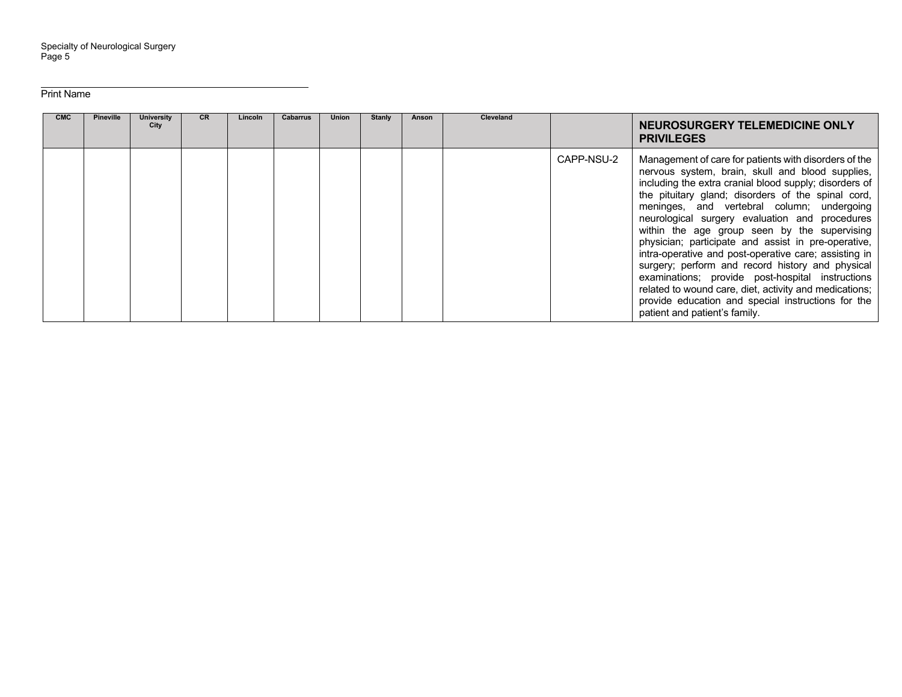Print Name

| <b>CMC</b> | <b>Pineville</b> | <b>University</b><br>City | <b>CR</b> | Lincoln | <b>Cabarrus</b> | <b>Union</b> | Stanly | Anson | <b>Cleveland</b> |            | NEUROSURGERY TELEMEDICINE ONLY<br><b>PRIVILEGES</b>                                                                                                                                                                                                                                                                                                                                                                                                                                                                                                                                                                                                                                                                                                |
|------------|------------------|---------------------------|-----------|---------|-----------------|--------------|--------|-------|------------------|------------|----------------------------------------------------------------------------------------------------------------------------------------------------------------------------------------------------------------------------------------------------------------------------------------------------------------------------------------------------------------------------------------------------------------------------------------------------------------------------------------------------------------------------------------------------------------------------------------------------------------------------------------------------------------------------------------------------------------------------------------------------|
|            |                  |                           |           |         |                 |              |        |       |                  | CAPP-NSU-2 | Management of care for patients with disorders of the<br>nervous system, brain, skull and blood supplies,<br>including the extra cranial blood supply; disorders of<br>the pituitary gland; disorders of the spinal cord,<br>meninges, and vertebral column; undergoing<br>neurological surgery evaluation and procedures<br>within the age group seen by the supervising<br>physician; participate and assist in pre-operative,<br>intra-operative and post-operative care; assisting in<br>surgery; perform and record history and physical<br>examinations; provide post-hospital instructions<br>related to wound care, diet, activity and medications;<br>provide education and special instructions for the<br>patient and patient's family. |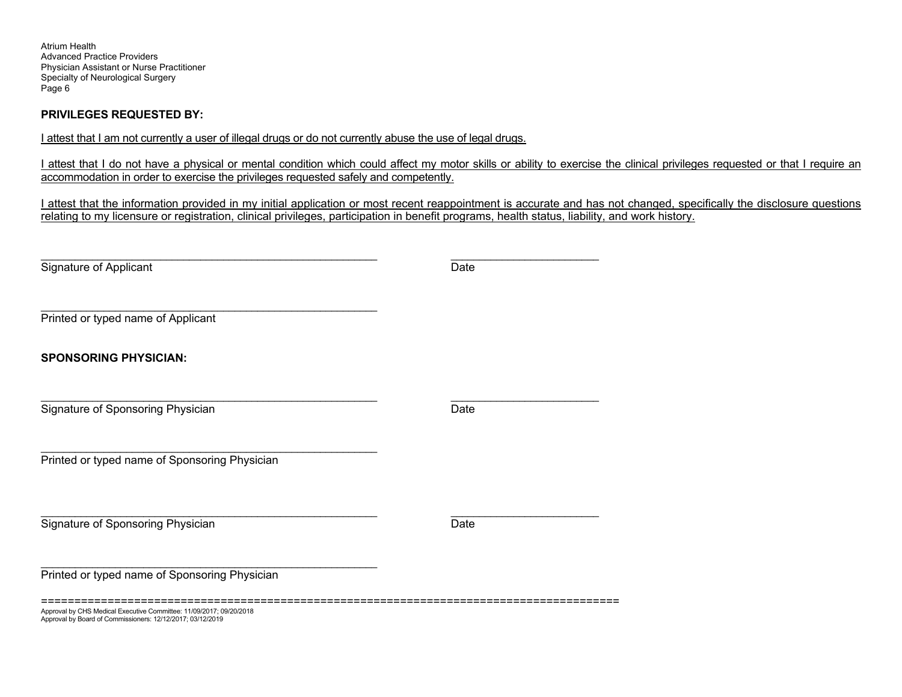Atrium Health Advanced Practice Providers Physician Assistant or Nurse Practitioner Specialty of Neurological Surgery Page 6

### **PRIVILEGES REQUESTED BY:**

I attest that I am not currently a user of illegal drugs or do not currently abuse the use of legal drugs.

I attest that I do not have a physical or mental condition which could affect my motor skills or ability to exercise the clinical privileges requested or that I require an accommodation in order to exercise the privileges requested safely and competently.

I attest that the information provided in my initial application or most recent reappointment is accurate and has not changed, specifically the disclosure questions relating to my licensure or registration, clinical privileges, participation in benefit programs, health status, liability, and work history.

| Signature of Applicant                                                                                                            | Date |
|-----------------------------------------------------------------------------------------------------------------------------------|------|
| Printed or typed name of Applicant                                                                                                |      |
| <b>SPONSORING PHYSICIAN:</b>                                                                                                      |      |
| Signature of Sponsoring Physician                                                                                                 | Date |
| Printed or typed name of Sponsoring Physician                                                                                     |      |
| Signature of Sponsoring Physician                                                                                                 | Date |
| Printed or typed name of Sponsoring Physician                                                                                     |      |
| Approval by CHS Medical Executive Committee: 11/09/2017; 09/20/2018<br>Approval by Board of Commissioners: 12/12/2017; 03/12/2019 |      |